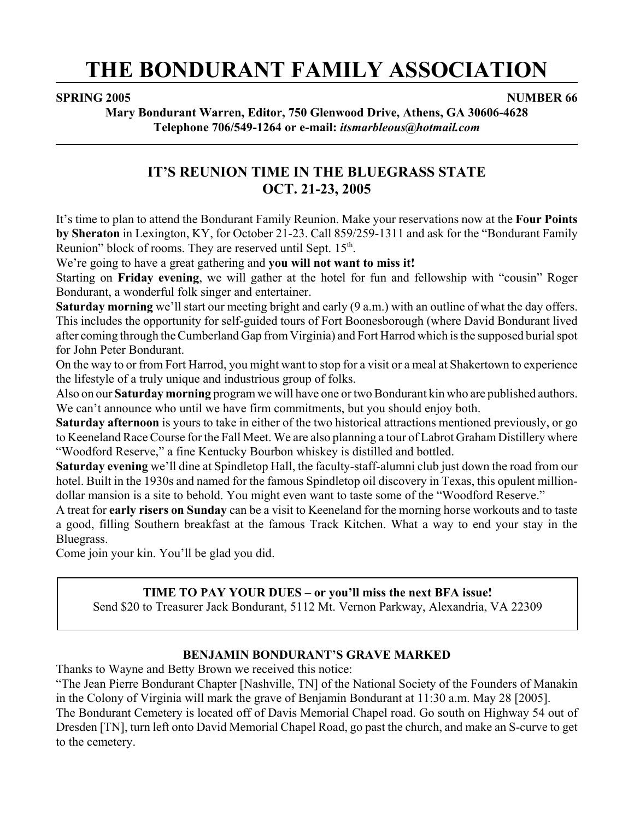# **THE BONDURANT FAMILY ASSOCIATION**

#### **SPRING 2005** NUMBER 66

**Mary Bondurant Warren, Editor, 750 Glenwood Drive, Athens, GA 30606-4628 Telephone 706/549-1264 or e-mail:** *itsmarbleous@hotmail.com*

## **IT'S REUNION TIME IN THE BLUEGRASS STATE OCT. 21-23, 2005**

It's time to plan to attend the Bondurant Family Reunion. Make your reservations now at the **Four Points by Sheraton** in Lexington, KY, for October 21-23. Call 859/259-1311 and ask for the "Bondurant Family Reunion" block of rooms. They are reserved until Sept. 15<sup>th</sup>.

We're going to have a great gathering and **you will not want to miss it!**

Starting on **Friday evening**, we will gather at the hotel for fun and fellowship with "cousin" Roger Bondurant, a wonderful folk singer and entertainer.

**Saturday morning** we'll start our meeting bright and early (9 a.m.) with an outline of what the day offers. This includes the opportunity for self-guided tours of Fort Boonesborough (where David Bondurant lived after coming through the Cumberland Gap from Virginia) and Fort Harrod which is the supposed burial spot for John Peter Bondurant.

On the way to or from Fort Harrod, you might want to stop for a visit or a meal at Shakertown to experience the lifestyle of a truly unique and industrious group of folks.

Also on our **Saturday morning** program we will have one or two Bondurant kin who are published authors. We can't announce who until we have firm commitments, but you should enjoy both.

**Saturday afternoon** is yours to take in either of the two historical attractions mentioned previously, or go to Keeneland Race Course for the Fall Meet. We are also planning a tour of Labrot Graham Distillery where "Woodford Reserve," a fine Kentucky Bourbon whiskey is distilled and bottled.

**Saturday evening** we'll dine at Spindletop Hall, the faculty-staff-alumni club just down the road from our hotel. Built in the 1930s and named for the famous Spindletop oil discovery in Texas, this opulent milliondollar mansion is a site to behold. You might even want to taste some of the "Woodford Reserve."

A treat for **early risers on Sunday** can be a visit to Keeneland for the morning horse workouts and to taste a good, filling Southern breakfast at the famous Track Kitchen. What a way to end your stay in the Bluegrass.

Come join your kin. You'll be glad you did.

#### **TIME TO PAY YOUR DUES – or you'll miss the next BFA issue!**

Send \$20 to Treasurer Jack Bondurant, 5112 Mt. Vernon Parkway, Alexandria, VA 22309

#### **BENJAMIN BONDURANT'S GRAVE MARKED**

Thanks to Wayne and Betty Brown we received this notice:

"The Jean Pierre Bondurant Chapter [Nashville, TN] of the National Society of the Founders of Manakin in the Colony of Virginia will mark the grave of Benjamin Bondurant at 11:30 a.m. May 28 [2005]. The Bondurant Cemetery is located off of Davis Memorial Chapel road. Go south on Highway 54 out of Dresden [TN], turn left onto David Memorial Chapel Road, go past the church, and make an S-curve to get to the cemetery.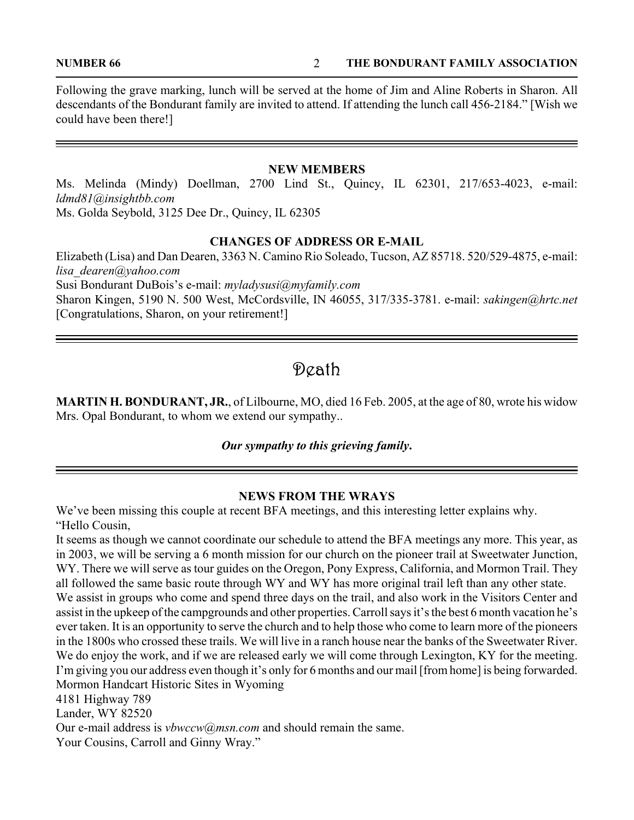**NUMBER 66 THE BONDURANT FAMILY ASSOCIATION** 

Following the grave marking, lunch will be served at the home of Jim and Aline Roberts in Sharon. All descendants of the Bondurant family are invited to attend. If attending the lunch call 456-2184." [Wish we could have been there!]

#### **NEW MEMBERS**

Ms. Melinda (Mindy) Doellman, 2700 Lind St., Quincy, IL 62301, 217/653-4023, e-mail: *ldmd81@insightbb.com* Ms. Golda Seybold, 3125 Dee Dr., Quincy, IL 62305

#### **CHANGES OF ADDRESS OR E-MAIL**

Elizabeth (Lisa) and Dan Dearen, 3363 N. Camino Rio Soleado, Tucson, AZ 85718. 520/529-4875, e-mail: *lisa\_dearen@yahoo.com* Susi Bondurant DuBois's e-mail: *myladysusi@myfamily.com* Sharon Kingen, 5190 N. 500 West, McCordsville, IN 46055, 317/335-3781. e-mail: *sakingen@hrtc.net* [Congratulations, Sharon, on your retirement!]

# Death

**MARTIN H. BONDURANT, JR.**, of Lilbourne, MO, died 16 Feb. 2005, at the age of 80, wrote his widow Mrs. Opal Bondurant, to whom we extend our sympathy..

#### *Our sympathy to this grieving family***.**

#### **NEWS FROM THE WRAYS**

We've been missing this couple at recent BFA meetings, and this interesting letter explains why. "Hello Cousin,

It seems as though we cannot coordinate our schedule to attend the BFA meetings any more. This year, as in 2003, we will be serving a 6 month mission for our church on the pioneer trail at Sweetwater Junction, WY. There we will serve as tour guides on the Oregon, Pony Express, California, and Mormon Trail. They all followed the same basic route through WY and WY has more original trail left than any other state. We assist in groups who come and spend three days on the trail, and also work in the Visitors Center and assist in the upkeep of the campgrounds and other properties. Carroll says it's the best 6 month vacation he's ever taken. It is an opportunity to serve the church and to help those who come to learn more of the pioneers in the 1800s who crossed these trails. We will live in a ranch house near the banks of the Sweetwater River. We do enjoy the work, and if we are released early we will come through Lexington, KY for the meeting. I'm giving you our address even though it's only for 6 months and our mail [from home] is being forwarded. Mormon Handcart Historic Sites in Wyoming 4181 Highway 789 Lander, WY 82520 Our e-mail address is *vbwccw@msn.com* and should remain the same. Your Cousins, Carroll and Ginny Wray."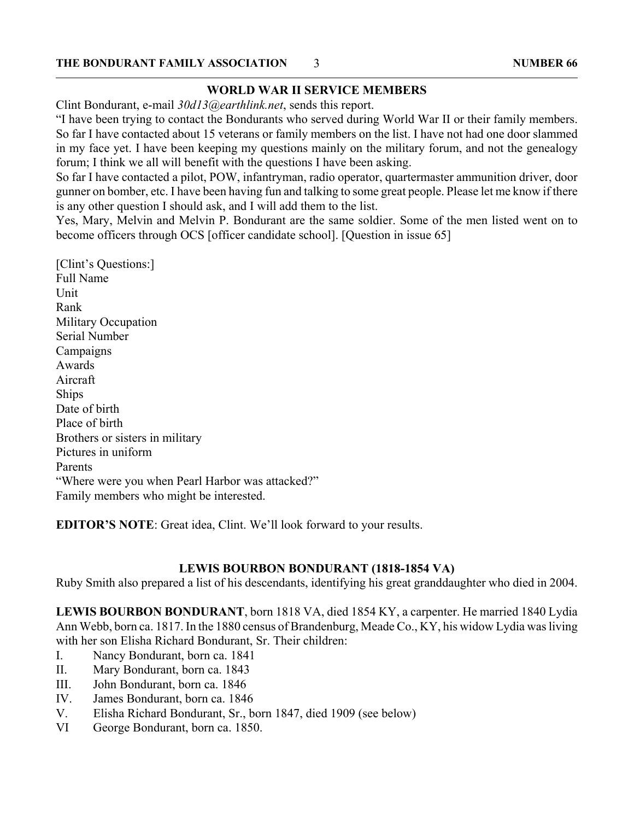#### **WORLD WAR II SERVICE MEMBERS**

Clint Bondurant, e-mail *30d13@earthlink.net*, sends this report.

"I have been trying to contact the Bondurants who served during World War II or their family members. So far I have contacted about 15 veterans or family members on the list. I have not had one door slammed in my face yet. I have been keeping my questions mainly on the military forum, and not the genealogy forum; I think we all will benefit with the questions I have been asking.

So far I have contacted a pilot, POW, infantryman, radio operator, quartermaster ammunition driver, door gunner on bomber, etc. I have been having fun and talking to some great people. Please let me know if there is any other question I should ask, and I will add them to the list.

Yes, Mary, Melvin and Melvin P. Bondurant are the same soldier. Some of the men listed went on to become officers through OCS [officer candidate school]. [Question in issue 65]

[Clint's Questions:] Full Name **Unit** Rank Military Occupation Serial Number Campaigns Awards Aircraft Ships Date of birth Place of birth Brothers or sisters in military Pictures in uniform Parents "Where were you when Pearl Harbor was attacked?" Family members who might be interested.

**EDITOR'S NOTE**: Great idea, Clint. We'll look forward to your results.

### **LEWIS BOURBON BONDURANT (1818-1854 VA)**

Ruby Smith also prepared a list of his descendants, identifying his great granddaughter who died in 2004.

**LEWIS BOURBON BONDURANT**, born 1818 VA, died 1854 KY, a carpenter. He married 1840 Lydia Ann Webb, born ca. 1817. In the 1880 census of Brandenburg, Meade Co., KY, his widow Lydia was living with her son Elisha Richard Bondurant, Sr. Their children:

- I. Nancy Bondurant, born ca. 1841
- II. Mary Bondurant, born ca. 1843
- III. John Bondurant, born ca. 1846
- IV. James Bondurant, born ca. 1846
- V. Elisha Richard Bondurant, Sr., born 1847, died 1909 (see below)
- VI George Bondurant, born ca. 1850.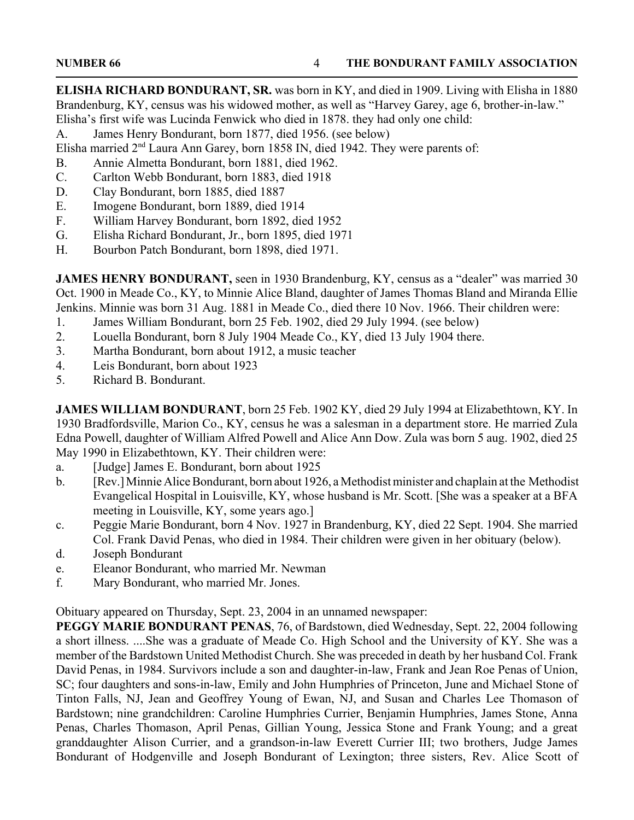**ELISHA RICHARD BONDURANT, SR.** was born in KY, and died in 1909. Living with Elisha in 1880 Brandenburg, KY, census was his widowed mother, as well as "Harvey Garey, age 6, brother-in-law." Elisha's first wife was Lucinda Fenwick who died in 1878. they had only one child:

A. James Henry Bondurant, born 1877, died 1956. (see below)

Elisha married 2<sup>nd</sup> Laura Ann Garey, born 1858 IN, died 1942. They were parents of:

- B. Annie Almetta Bondurant, born 1881, died 1962.
- C. Carlton Webb Bondurant, born 1883, died 1918
- D. Clay Bondurant, born 1885, died 1887
- E. Imogene Bondurant, born 1889, died 1914
- F. William Harvey Bondurant, born 1892, died 1952
- G. Elisha Richard Bondurant, Jr., born 1895, died 1971
- H. Bourbon Patch Bondurant, born 1898, died 1971.

**JAMES HENRY BONDURANT,** seen in 1930 Brandenburg, KY, census as a "dealer" was married 30 Oct. 1900 in Meade Co., KY, to Minnie Alice Bland, daughter of James Thomas Bland and Miranda Ellie Jenkins. Minnie was born 31 Aug. 1881 in Meade Co., died there 10 Nov. 1966. Their children were:

- 1. James William Bondurant, born 25 Feb. 1902, died 29 July 1994. (see below)
- 2. Louella Bondurant, born 8 July 1904 Meade Co., KY, died 13 July 1904 there.
- 3. Martha Bondurant, born about 1912, a music teacher
- 4. Leis Bondurant, born about 1923
- 5. Richard B. Bondurant.

**JAMES WILLIAM BONDURANT**, born 25 Feb. 1902 KY, died 29 July 1994 at Elizabethtown, KY. In 1930 Bradfordsville, Marion Co., KY, census he was a salesman in a department store. He married Zula Edna Powell, daughter of William Alfred Powell and Alice Ann Dow. Zula was born 5 aug. 1902, died 25 May 1990 in Elizabethtown, KY. Their children were:

- a. [Judge] James E. Bondurant, born about 1925
- b. [Rev.] Minnie Alice Bondurant, born about 1926, a Methodist minister and chaplain at the Methodist Evangelical Hospital in Louisville, KY, whose husband is Mr. Scott. [She was a speaker at a BFA meeting in Louisville, KY, some years ago.]
- c. Peggie Marie Bondurant, born 4 Nov. 1927 in Brandenburg, KY, died 22 Sept. 1904. She married Col. Frank David Penas, who died in 1984. Their children were given in her obituary (below).
- d. Joseph Bondurant
- e. Eleanor Bondurant, who married Mr. Newman
- f. Mary Bondurant, who married Mr. Jones.

Obituary appeared on Thursday, Sept. 23, 2004 in an unnamed newspaper:

**PEGGY MARIE BONDURANT PENAS**, 76, of Bardstown, died Wednesday, Sept. 22, 2004 following a short illness. ....She was a graduate of Meade Co. High School and the University of KY. She was a member of the Bardstown United Methodist Church. She was preceded in death by her husband Col. Frank David Penas, in 1984. Survivors include a son and daughter-in-law, Frank and Jean Roe Penas of Union, SC; four daughters and sons-in-law, Emily and John Humphries of Princeton, June and Michael Stone of Tinton Falls, NJ, Jean and Geoffrey Young of Ewan, NJ, and Susan and Charles Lee Thomason of Bardstown; nine grandchildren: Caroline Humphries Currier, Benjamin Humphries, James Stone, Anna Penas, Charles Thomason, April Penas, Gillian Young, Jessica Stone and Frank Young; and a great granddaughter Alison Currier, and a grandson-in-law Everett Currier III; two brothers, Judge James Bondurant of Hodgenville and Joseph Bondurant of Lexington; three sisters, Rev. Alice Scott of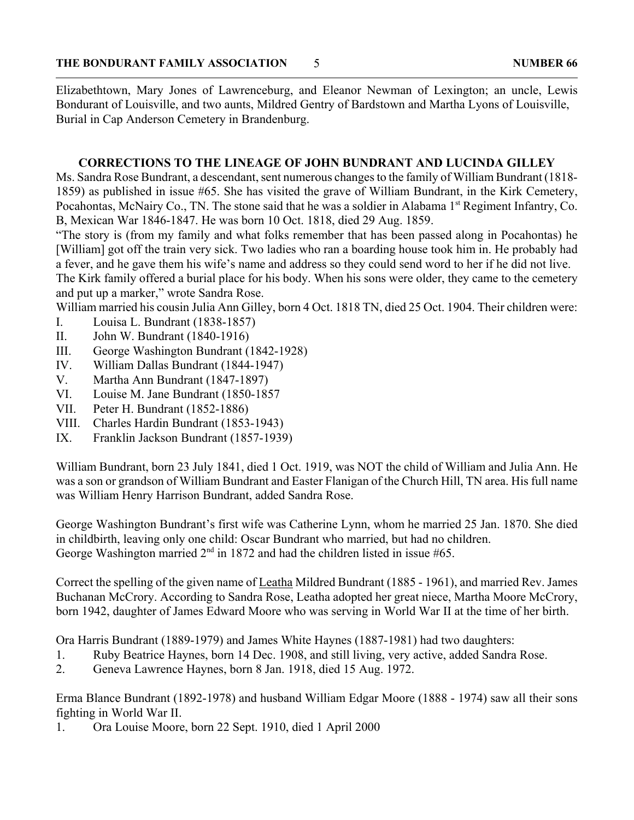Elizabethtown, Mary Jones of Lawrenceburg, and Eleanor Newman of Lexington; an uncle, Lewis Bondurant of Louisville, and two aunts, Mildred Gentry of Bardstown and Martha Lyons of Louisville, Burial in Cap Anderson Cemetery in Brandenburg.

#### **CORRECTIONS TO THE LINEAGE OF JOHN BUNDRANT AND LUCINDA GILLEY**

Ms. Sandra Rose Bundrant, a descendant, sent numerous changes to the family of William Bundrant (1818- 1859) as published in issue #65. She has visited the grave of William Bundrant, in the Kirk Cemetery, Pocahontas, McNairy Co., TN. The stone said that he was a soldier in Alabama 1<sup>st</sup> Regiment Infantry, Co. B, Mexican War 1846-1847. He was born 10 Oct. 1818, died 29 Aug. 1859.

"The story is (from my family and what folks remember that has been passed along in Pocahontas) he [William] got off the train very sick. Two ladies who ran a boarding house took him in. He probably had a fever, and he gave them his wife's name and address so they could send word to her if he did not live.

The Kirk family offered a burial place for his body. When his sons were older, they came to the cemetery and put up a marker," wrote Sandra Rose.

William married his cousin Julia Ann Gilley, born 4 Oct. 1818 TN, died 25 Oct. 1904. Their children were:

- I. Louisa L. Bundrant (1838-1857)
- II. John W. Bundrant (1840-1916)
- III. George Washington Bundrant (1842-1928)
- IV. William Dallas Bundrant (1844-1947)
- V. Martha Ann Bundrant (1847-1897)
- VI. Louise M. Jane Bundrant (1850-1857
- VII. Peter H. Bundrant (1852-1886)
- VIII. Charles Hardin Bundrant (1853-1943)
- IX. Franklin Jackson Bundrant (1857-1939)

William Bundrant, born 23 July 1841, died 1 Oct. 1919, was NOT the child of William and Julia Ann. He was a son or grandson of William Bundrant and Easter Flanigan of the Church Hill, TN area. His full name was William Henry Harrison Bundrant, added Sandra Rose.

George Washington Bundrant's first wife was Catherine Lynn, whom he married 25 Jan. 1870. She died in childbirth, leaving only one child: Oscar Bundrant who married, but had no children. George Washington married  $2<sup>nd</sup>$  in 1872 and had the children listed in issue #65.

Correct the spelling of the given name of Leatha Mildred Bundrant (1885 - 1961), and married Rev. James Buchanan McCrory. According to Sandra Rose, Leatha adopted her great niece, Martha Moore McCrory, born 1942, daughter of James Edward Moore who was serving in World War II at the time of her birth.

Ora Harris Bundrant (1889-1979) and James White Haynes (1887-1981) had two daughters:

- 1. Ruby Beatrice Haynes, born 14 Dec. 1908, and still living, very active, added Sandra Rose.
- 2. Geneva Lawrence Haynes, born 8 Jan. 1918, died 15 Aug. 1972.

Erma Blance Bundrant (1892-1978) and husband William Edgar Moore (1888 - 1974) saw all their sons fighting in World War II.

1. Ora Louise Moore, born 22 Sept. 1910, died 1 April 2000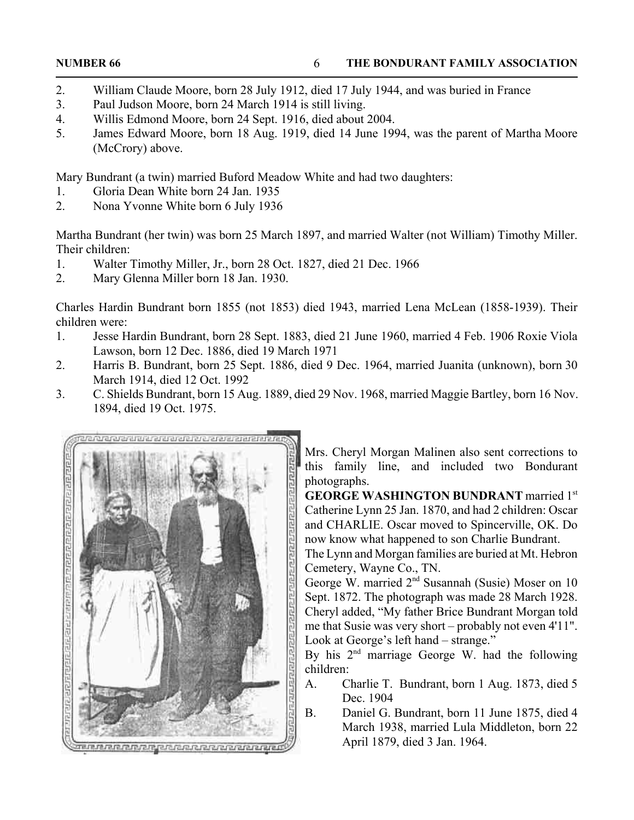- 2. William Claude Moore, born 28 July 1912, died 17 July 1944, and was buried in France
- 3. Paul Judson Moore, born 24 March 1914 is still living.
- 4. Willis Edmond Moore, born 24 Sept. 1916, died about 2004.
- 5. James Edward Moore, born 18 Aug. 1919, died 14 June 1994, was the parent of Martha Moore (McCrory) above.

Mary Bundrant (a twin) married Buford Meadow White and had two daughters:

- 1. Gloria Dean White born 24 Jan. 1935
- 2. Nona Yvonne White born 6 July 1936

Martha Bundrant (her twin) was born 25 March 1897, and married Walter (not William) Timothy Miller. Their children:

- 1. Walter Timothy Miller, Jr., born 28 Oct. 1827, died 21 Dec. 1966
- 2. Mary Glenna Miller born 18 Jan. 1930.

Charles Hardin Bundrant born 1855 (not 1853) died 1943, married Lena McLean (1858-1939). Their children were:

- 1. Jesse Hardin Bundrant, born 28 Sept. 1883, died 21 June 1960, married 4 Feb. 1906 Roxie Viola Lawson, born 12 Dec. 1886, died 19 March 1971
- 2. Harris B. Bundrant, born 25 Sept. 1886, died 9 Dec. 1964, married Juanita (unknown), born 30 March 1914, died 12 Oct. 1992
- 3. C. Shields Bundrant, born 15 Aug. 1889, died 29 Nov. 1968, married Maggie Bartley, born 16 Nov. 1894, died 19 Oct. 1975.



Mrs. Cheryl Morgan Malinen also sent corrections to this family line, and included two Bondurant photographs.

**GEORGE WASHINGTON BUNDRANT** married 1st Catherine Lynn 25 Jan. 1870, and had 2 children: Oscar and CHARLIE. Oscar moved to Spincerville, OK. Do now know what happened to son Charlie Bundrant.

The Lynn and Morgan families are buried at Mt. Hebron Cemetery, Wayne Co., TN.

George W. married  $2<sup>nd</sup>$  Susannah (Susie) Moser on 10 Sept. 1872. The photograph was made 28 March 1928. Cheryl added, "My father Brice Bundrant Morgan told me that Susie was very short – probably not even 4'11". Look at George's left hand – strange."

By his 2<sup>nd</sup> marriage George W. had the following children:

- A. Charlie T. Bundrant, born 1 Aug. 1873, died 5 Dec. 1904
- B. Daniel G. Bundrant, born 11 June 1875, died 4 March 1938, married Lula Middleton, born 22 April 1879, died 3 Jan. 1964.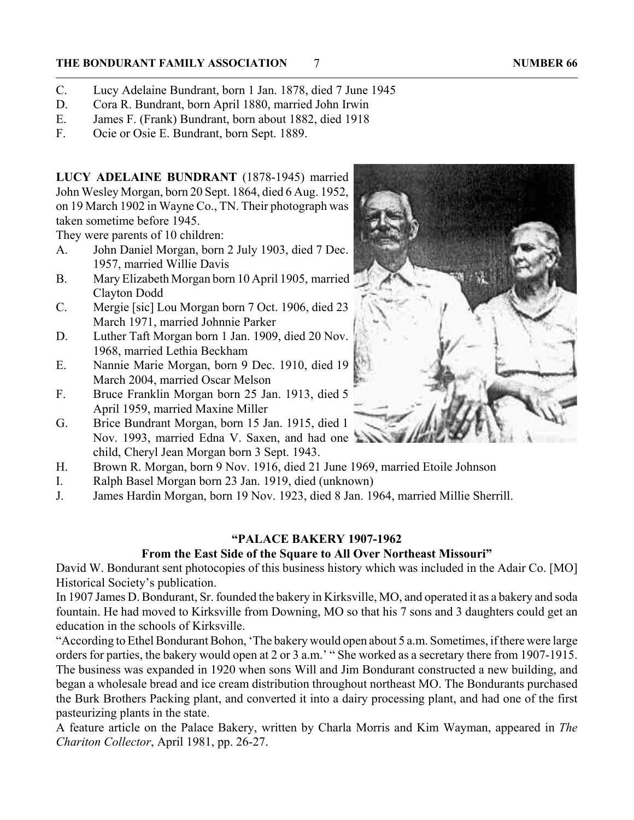#### **THE BONDURANT FAMILY ASSOCIATION 7** 7 **NUMBER 66**

- C. Lucy Adelaine Bundrant, born 1 Jan. 1878, died 7 June 1945
- D. Cora R. Bundrant, born April 1880, married John Irwin
- E. James F. (Frank) Bundrant, born about 1882, died 1918
- F. Ocie or Osie E. Bundrant, born Sept. 1889.

**LUCY ADELAINE BUNDRANT** (1878-1945) married John Wesley Morgan, born 20 Sept. 1864, died 6 Aug. 1952, on 19 March 1902 in Wayne Co., TN. Their photograph was taken sometime before 1945.

They were parents of 10 children:

- A. John Daniel Morgan, born 2 July 1903, died 7 Dec. 1957, married Willie Davis
- B. Mary Elizabeth Morgan born 10 April 1905, married Clayton Dodd
- C. Mergie [sic] Lou Morgan born 7 Oct. 1906, died 23 March 1971, married Johnnie Parker
- D. Luther Taft Morgan born 1 Jan. 1909, died 20 Nov. 1968, married Lethia Beckham
- E. Nannie Marie Morgan, born 9 Dec. 1910, died 19 March 2004, married Oscar Melson
- F. Bruce Franklin Morgan born 25 Jan. 1913, died 5 April 1959, married Maxine Miller
- G. Brice Bundrant Morgan, born 15 Jan. 1915, died 1 Nov. 1993, married Edna V. Saxen, and had one child, Cheryl Jean Morgan born 3 Sept. 1943.
- H. Brown R. Morgan, born 9 Nov. 1916, died 21 June 1969, married Etoile Johnson
- I. Ralph Basel Morgan born 23 Jan. 1919, died (unknown)
- J. James Hardin Morgan, born 19 Nov. 1923, died 8 Jan. 1964, married Millie Sherrill.

#### **"PALACE BAKERY 1907-1962**

#### **From the East Side of the Square to All Over Northeast Missouri"**

David W. Bondurant sent photocopies of this business history which was included in the Adair Co. [MO] Historical Society's publication.

In 1907 James D. Bondurant, Sr. founded the bakery in Kirksville, MO, and operated it as a bakery and soda fountain. He had moved to Kirksville from Downing, MO so that his 7 sons and 3 daughters could get an education in the schools of Kirksville.

"According to Ethel Bondurant Bohon, 'The bakery would open about 5 a.m. Sometimes, if there were large orders for parties, the bakery would open at 2 or 3 a.m.' " She worked as a secretary there from 1907-1915. The business was expanded in 1920 when sons Will and Jim Bondurant constructed a new building, and began a wholesale bread and ice cream distribution throughout northeast MO. The Bondurants purchased the Burk Brothers Packing plant, and converted it into a dairy processing plant, and had one of the first pasteurizing plants in the state.

A feature article on the Palace Bakery, written by Charla Morris and Kim Wayman, appeared in *The Chariton Collector*, April 1981, pp. 26-27.

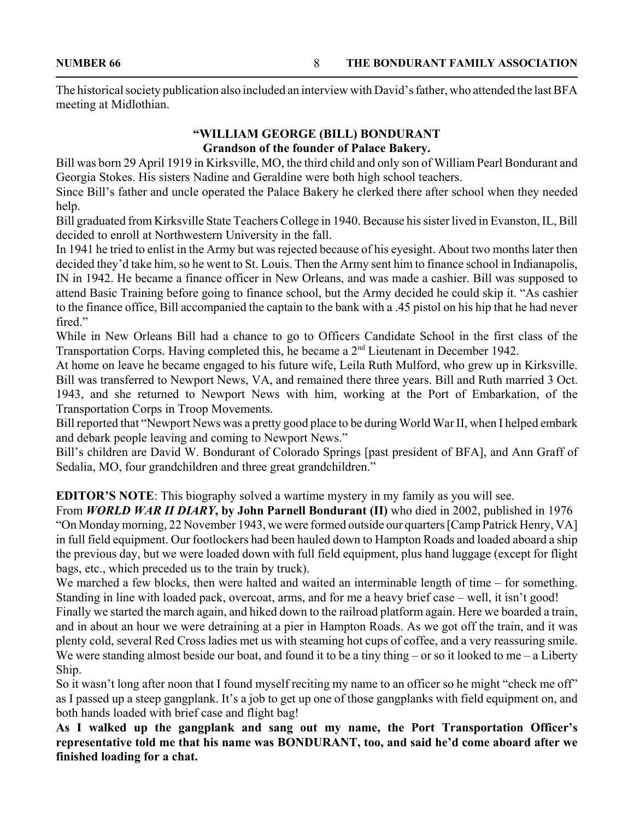The historical society publication also included an interview with David's father, who attended the last BFA meeting at Midlothian.

#### **"WILLIAM GEORGE (BILL) BONDURANT Grandson of the founder of Palace Bakery.**

Bill was born 29 April 1919 in Kirksville, MO, the third child and only son of William Pearl Bondurant and Georgia Stokes. His sisters Nadine and Geraldine were both high school teachers.

Since Bill's father and uncle operated the Palace Bakery he clerked there after school when they needed help.

Bill graduated from Kirksville State Teachers College in 1940. Because his sister lived in Evanston, IL, Bill decided to enroll at Northwestern University in the fall.

In 1941 he tried to enlist in the Army but was rejected because of his eyesight. About two months later then decided they'd take him, so he went to St. Louis. Then the Army sent him to finance school in Indianapolis, IN in 1942. He became a finance officer in New Orleans, and was made a cashier. Bill was supposed to attend Basic Training before going to finance school, but the Army decided he could skip it. "As cashier to the finance office, Bill accompanied the captain to the bank with a .45 pistol on his hip that he had never fired."

While in New Orleans Bill had a chance to go to Officers Candidate School in the first class of the Transportation Corps. Having completed this, he became a 2<sup>nd</sup> Lieutenant in December 1942.

At home on leave he became engaged to his future wife, Leila Ruth Mulford, who grew up in Kirksville. Bill was transferred to Newport News, VA, and remained there three years. Bill and Ruth married 3 Oct. 1943, and she returned to Newport News with him, working at the Port of Embarkation, of the Transportation Corps in Troop Movements.

Bill reported that "Newport News was a pretty good place to be during World War II, when I helped embark and debark people leaving and coming to Newport News."

Bill's children are David W. Bondurant of Colorado Springs [past president of BFA], and Ann Graff of Sedalia, MO, four grandchildren and three great grandchildren."

**EDITOR'S NOTE:** This biography solved a wartime mystery in my family as you will see.

From *WORLD WAR II DIARY***, by John Parnell Bondurant (II)** who died in 2002, published in 1976 "On Monday morning, 22 November 1943, we were formed outside our quarters [Camp Patrick Henry, VA] in full field equipment. Our footlockers had been hauled down to Hampton Roads and loaded aboard a ship the previous day, but we were loaded down with full field equipment, plus hand luggage (except for flight bags, etc., which preceded us to the train by truck).

We marched a few blocks, then were halted and waited an interminable length of time – for something. Standing in line with loaded pack, overcoat, arms, and for me a heavy brief case – well, it isn't good!

Finally we started the march again, and hiked down to the railroad platform again. Here we boarded a train, and in about an hour we were detraining at a pier in Hampton Roads. As we got off the train, and it was plenty cold, several Red Cross ladies met us with steaming hot cups of coffee, and a very reassuring smile. We were standing almost beside our boat, and found it to be a tiny thing – or so it looked to me – a Liberty Ship.

So it wasn't long after noon that I found myself reciting my name to an officer so he might "check me off" as I passed up a steep gangplank. It's a job to get up one of those gangplanks with field equipment on, and both hands loaded with brief case and flight bag!

**As I walked up the gangplank and sang out my name, the Port Transportation Officer's representative told me that his name was BONDURANT, too, and said he'd come aboard after we finished loading for a chat.**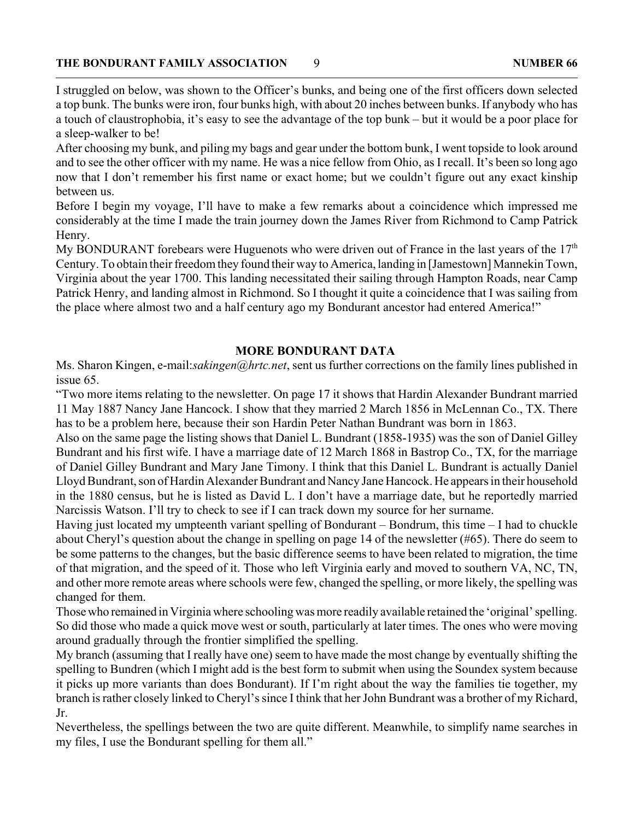I struggled on below, was shown to the Officer's bunks, and being one of the first officers down selected a top bunk. The bunks were iron, four bunks high, with about 20 inches between bunks. If anybody who has a touch of claustrophobia, it's easy to see the advantage of the top bunk – but it would be a poor place for a sleep-walker to be!

After choosing my bunk, and piling my bags and gear under the bottom bunk, I went topside to look around and to see the other officer with my name. He was a nice fellow from Ohio, as I recall. It's been so long ago now that I don't remember his first name or exact home; but we couldn't figure out any exact kinship between us.

Before I begin my voyage, I'll have to make a few remarks about a coincidence which impressed me considerably at the time I made the train journey down the James River from Richmond to Camp Patrick Henry.

My BONDURANT forebears were Huguenots who were driven out of France in the last years of the  $17<sup>th</sup>$ Century. To obtain their freedom they found their way to America, landing in [Jamestown] Mannekin Town, Virginia about the year 1700. This landing necessitated their sailing through Hampton Roads, near Camp Patrick Henry, and landing almost in Richmond. So I thought it quite a coincidence that I was sailing from the place where almost two and a half century ago my Bondurant ancestor had entered America!"

#### **MORE BONDURANT DATA**

Ms. Sharon Kingen, e-mail:*sakingen@hrtc.net*, sent us further corrections on the family lines published in issue 65.

"Two more items relating to the newsletter. On page 17 it shows that Hardin Alexander Bundrant married 11 May 1887 Nancy Jane Hancock. I show that they married 2 March 1856 in McLennan Co., TX. There has to be a problem here, because their son Hardin Peter Nathan Bundrant was born in 1863.

Also on the same page the listing shows that Daniel L. Bundrant (1858-1935) was the son of Daniel Gilley Bundrant and his first wife. I have a marriage date of 12 March 1868 in Bastrop Co., TX, for the marriage of Daniel Gilley Bundrant and Mary Jane Timony. I think that this Daniel L. Bundrant is actually Daniel Lloyd Bundrant, son of Hardin Alexander Bundrant and Nancy Jane Hancock. He appears in their household in the 1880 census, but he is listed as David L. I don't have a marriage date, but he reportedly married Narcissis Watson. I'll try to check to see if I can track down my source for her surname.

Having just located my umpteenth variant spelling of Bondurant – Bondrum, this time – I had to chuckle about Cheryl's question about the change in spelling on page 14 of the newsletter (#65). There do seem to be some patterns to the changes, but the basic difference seems to have been related to migration, the time of that migration, and the speed of it. Those who left Virginia early and moved to southern VA, NC, TN, and other more remote areas where schools were few, changed the spelling, or more likely, the spelling was changed for them.

Those who remained in Virginia where schooling was more readily available retained the 'original' spelling. So did those who made a quick move west or south, particularly at later times. The ones who were moving around gradually through the frontier simplified the spelling.

My branch (assuming that I really have one) seem to have made the most change by eventually shifting the spelling to Bundren (which I might add is the best form to submit when using the Soundex system because it picks up more variants than does Bondurant). If I'm right about the way the families tie together, my branch is rather closely linked to Cheryl's since I think that her John Bundrant was a brother of my Richard, Jr.

Nevertheless, the spellings between the two are quite different. Meanwhile, to simplify name searches in my files, I use the Bondurant spelling for them all."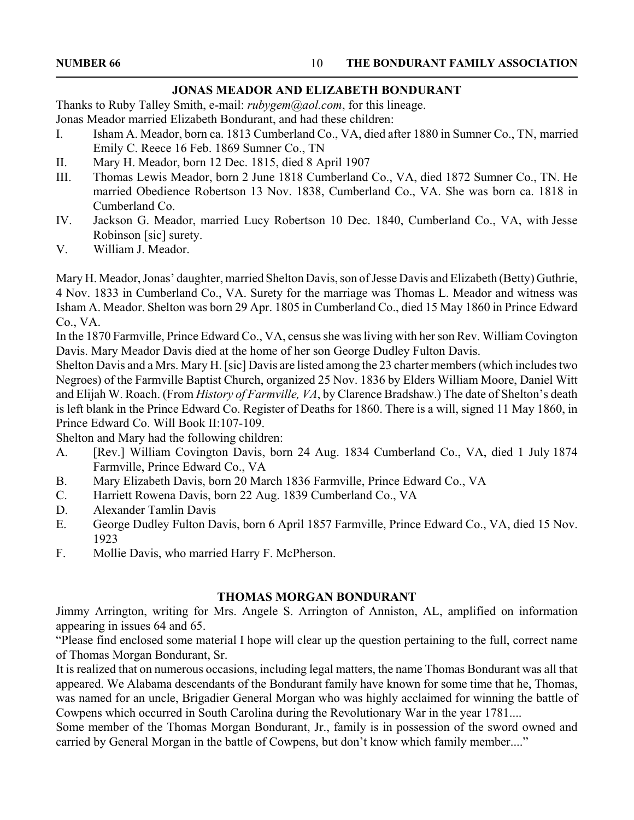#### **JONAS MEADOR AND ELIZABETH BONDURANT**

Thanks to Ruby Talley Smith, e-mail: *rubygem@aol.com*, for this lineage. Jonas Meador married Elizabeth Bondurant, and had these children:

- I. Isham A. Meador, born ca. 1813 Cumberland Co., VA, died after 1880 in Sumner Co., TN, married Emily C. Reece 16 Feb. 1869 Sumner Co., TN
- II. Mary H. Meador, born 12 Dec. 1815, died 8 April 1907
- III. Thomas Lewis Meador, born 2 June 1818 Cumberland Co., VA, died 1872 Sumner Co., TN. He married Obedience Robertson 13 Nov. 1838, Cumberland Co., VA. She was born ca. 1818 in Cumberland Co.
- IV. Jackson G. Meador, married Lucy Robertson 10 Dec. 1840, Cumberland Co., VA, with Jesse Robinson [sic] surety.
- V. William J. Meador.

Mary H. Meador, Jonas' daughter, married Shelton Davis, son of Jesse Davis and Elizabeth (Betty) Guthrie, 4 Nov. 1833 in Cumberland Co., VA. Surety for the marriage was Thomas L. Meador and witness was Isham A. Meador. Shelton was born 29 Apr. 1805 in Cumberland Co., died 15 May 1860 in Prince Edward Co., VA.

In the 1870 Farmville, Prince Edward Co., VA, census she was living with her son Rev. William Covington Davis. Mary Meador Davis died at the home of her son George Dudley Fulton Davis.

Shelton Davis and a Mrs. Mary H. [sic] Davis are listed among the 23 charter members (which includes two Negroes) of the Farmville Baptist Church, organized 25 Nov. 1836 by Elders William Moore, Daniel Witt and Elijah W. Roach. (From *History of Farmville, VA*, by Clarence Bradshaw.) The date of Shelton's death is left blank in the Prince Edward Co. Register of Deaths for 1860. There is a will, signed 11 May 1860, in Prince Edward Co. Will Book II:107-109.

Shelton and Mary had the following children:

- A. [Rev.] William Covington Davis, born 24 Aug. 1834 Cumberland Co., VA, died 1 July 1874 Farmville, Prince Edward Co., VA
- B. Mary Elizabeth Davis, born 20 March 1836 Farmville, Prince Edward Co., VA
- C. Harriett Rowena Davis, born 22 Aug. 1839 Cumberland Co., VA
- D. Alexander Tamlin Davis
- E. George Dudley Fulton Davis, born 6 April 1857 Farmville, Prince Edward Co., VA, died 15 Nov. 1923
- F. Mollie Davis, who married Harry F. McPherson.

#### **THOMAS MORGAN BONDURANT**

Jimmy Arrington, writing for Mrs. Angele S. Arrington of Anniston, AL, amplified on information appearing in issues 64 and 65.

"Please find enclosed some material I hope will clear up the question pertaining to the full, correct name of Thomas Morgan Bondurant, Sr.

It is realized that on numerous occasions, including legal matters, the name Thomas Bondurant was all that appeared. We Alabama descendants of the Bondurant family have known for some time that he, Thomas, was named for an uncle, Brigadier General Morgan who was highly acclaimed for winning the battle of Cowpens which occurred in South Carolina during the Revolutionary War in the year 1781....

Some member of the Thomas Morgan Bondurant, Jr., family is in possession of the sword owned and carried by General Morgan in the battle of Cowpens, but don't know which family member...."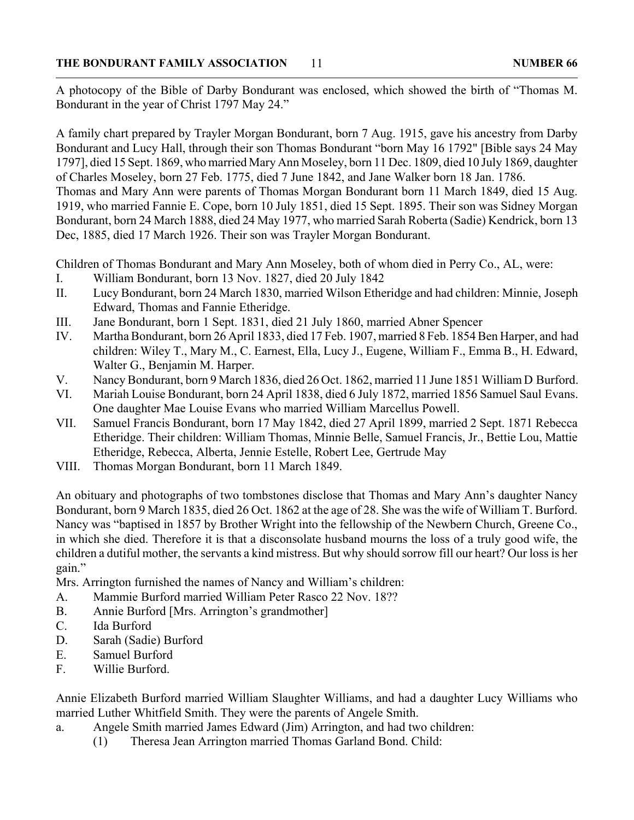A photocopy of the Bible of Darby Bondurant was enclosed, which showed the birth of "Thomas M. Bondurant in the year of Christ 1797 May 24."

A family chart prepared by Trayler Morgan Bondurant, born 7 Aug. 1915, gave his ancestry from Darby Bondurant and Lucy Hall, through their son Thomas Bondurant "born May 16 1792" [Bible says 24 May 1797], died 15 Sept. 1869, who married Mary Ann Moseley, born 11 Dec. 1809, died 10 July 1869, daughter of Charles Moseley, born 27 Feb. 1775, died 7 June 1842, and Jane Walker born 18 Jan. 1786.

Thomas and Mary Ann were parents of Thomas Morgan Bondurant born 11 March 1849, died 15 Aug. 1919, who married Fannie E. Cope, born 10 July 1851, died 15 Sept. 1895. Their son was Sidney Morgan Bondurant, born 24 March 1888, died 24 May 1977, who married Sarah Roberta (Sadie) Kendrick, born 13 Dec, 1885, died 17 March 1926. Their son was Trayler Morgan Bondurant.

Children of Thomas Bondurant and Mary Ann Moseley, both of whom died in Perry Co., AL, were:

- I. William Bondurant, born 13 Nov. 1827, died 20 July 1842
- II. Lucy Bondurant, born 24 March 1830, married Wilson Etheridge and had children: Minnie, Joseph Edward, Thomas and Fannie Etheridge.
- III. Jane Bondurant, born 1 Sept. 1831, died 21 July 1860, married Abner Spencer
- IV. Martha Bondurant, born 26 April 1833, died 17 Feb. 1907, married 8 Feb. 1854 Ben Harper, and had children: Wiley T., Mary M., C. Earnest, Ella, Lucy J., Eugene, William F., Emma B., H. Edward, Walter G., Benjamin M. Harper.
- V. Nancy Bondurant, born 9 March 1836, died 26 Oct. 1862, married 11 June 1851 William D Burford.
- VI. Mariah Louise Bondurant, born 24 April 1838, died 6 July 1872, married 1856 Samuel Saul Evans. One daughter Mae Louise Evans who married William Marcellus Powell.
- VII. Samuel Francis Bondurant, born 17 May 1842, died 27 April 1899, married 2 Sept. 1871 Rebecca Etheridge. Their children: William Thomas, Minnie Belle, Samuel Francis, Jr., Bettie Lou, Mattie Etheridge, Rebecca, Alberta, Jennie Estelle, Robert Lee, Gertrude May
- VIII. Thomas Morgan Bondurant, born 11 March 1849.

An obituary and photographs of two tombstones disclose that Thomas and Mary Ann's daughter Nancy Bondurant, born 9 March 1835, died 26 Oct. 1862 at the age of 28. She was the wife of William T. Burford. Nancy was "baptised in 1857 by Brother Wright into the fellowship of the Newbern Church, Greene Co., in which she died. Therefore it is that a disconsolate husband mourns the loss of a truly good wife, the children a dutiful mother, the servants a kind mistress. But why should sorrow fill our heart? Our loss is her gain."

Mrs. Arrington furnished the names of Nancy and William's children:

- A. Mammie Burford married William Peter Rasco 22 Nov. 18??
- B. Annie Burford [Mrs. Arrington's grandmother]
- C. Ida Burford
- D. Sarah (Sadie) Burford
- E. Samuel Burford
- F. Willie Burford.

Annie Elizabeth Burford married William Slaughter Williams, and had a daughter Lucy Williams who married Luther Whitfield Smith. They were the parents of Angele Smith.

- a. Angele Smith married James Edward (Jim) Arrington, and had two children:
	- (1) Theresa Jean Arrington married Thomas Garland Bond. Child: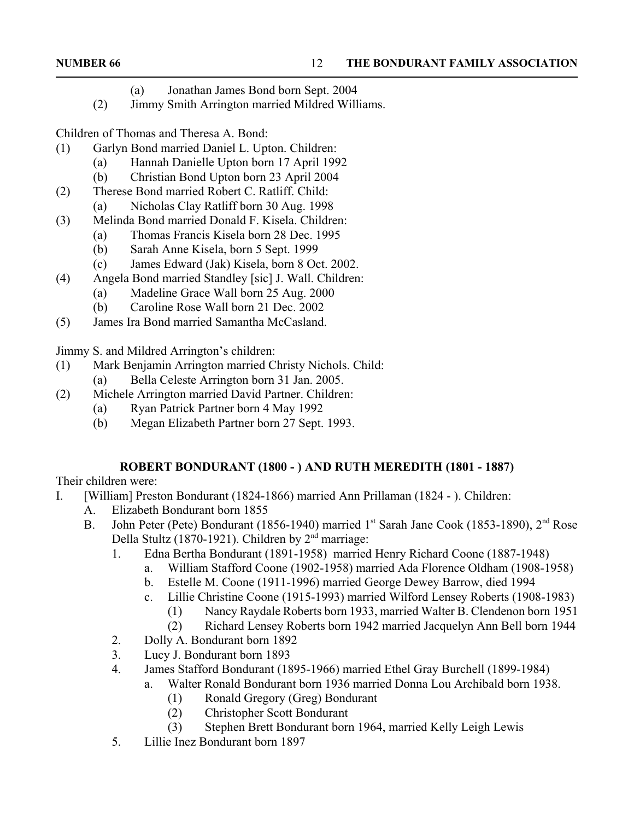- (a) Jonathan James Bond born Sept. 2004
- (2) Jimmy Smith Arrington married Mildred Williams.

Children of Thomas and Theresa A. Bond:

- (1) Garlyn Bond married Daniel L. Upton. Children:
	- (a) Hannah Danielle Upton born 17 April 1992
	- (b) Christian Bond Upton born 23 April 2004
- (2) Therese Bond married Robert C. Ratliff. Child:
	- (a) Nicholas Clay Ratliff born 30 Aug. 1998
- (3) Melinda Bond married Donald F. Kisela. Children:
	- (a) Thomas Francis Kisela born 28 Dec. 1995
	- (b) Sarah Anne Kisela, born 5 Sept. 1999
	- (c) James Edward (Jak) Kisela, born 8 Oct. 2002.
- (4) Angela Bond married Standley [sic] J. Wall. Children:
	- (a) Madeline Grace Wall born 25 Aug. 2000
	- (b) Caroline Rose Wall born 21 Dec. 2002
- (5) James Ira Bond married Samantha McCasland.

Jimmy S. and Mildred Arrington's children:

- (1) Mark Benjamin Arrington married Christy Nichols. Child:
	- (a) Bella Celeste Arrington born 31 Jan. 2005.
- (2) Michele Arrington married David Partner. Children:
	- (a) Ryan Patrick Partner born 4 May 1992
	- (b) Megan Elizabeth Partner born 27 Sept. 1993.

#### **ROBERT BONDURANT (1800 - ) AND RUTH MEREDITH (1801 - 1887)**

Their children were:

- I. [William] Preston Bondurant (1824-1866) married Ann Prillaman (1824 ). Children:
	- A. Elizabeth Bondurant born 1855
	- B. John Peter (Pete) Bondurant (1856-1940) married 1<sup>st</sup> Sarah Jane Cook (1853-1890), 2<sup>nd</sup> Rose Della Stultz (1870-1921). Children by  $2<sup>nd</sup>$  marriage:
		- 1. Edna Bertha Bondurant (1891-1958) married Henry Richard Coone (1887-1948)
			- a. William Stafford Coone (1902-1958) married Ada Florence Oldham (1908-1958)
			- b. Estelle M. Coone (1911-1996) married George Dewey Barrow, died 1994
			- c. Lillie Christine Coone (1915-1993) married Wilford Lensey Roberts (1908-1983)
				- (1) Nancy Raydale Roberts born 1933, married Walter B. Clendenon born 1951
				- (2) Richard Lensey Roberts born 1942 married Jacquelyn Ann Bell born 1944
		- 2. Dolly A. Bondurant born 1892
		- 3. Lucy J. Bondurant born 1893
		- 4. James Stafford Bondurant (1895-1966) married Ethel Gray Burchell (1899-1984)
			- a. Walter Ronald Bondurant born 1936 married Donna Lou Archibald born 1938.
				- (1) Ronald Gregory (Greg) Bondurant
				- (2) Christopher Scott Bondurant
				- (3) Stephen Brett Bondurant born 1964, married Kelly Leigh Lewis
		- 5. Lillie Inez Bondurant born 1897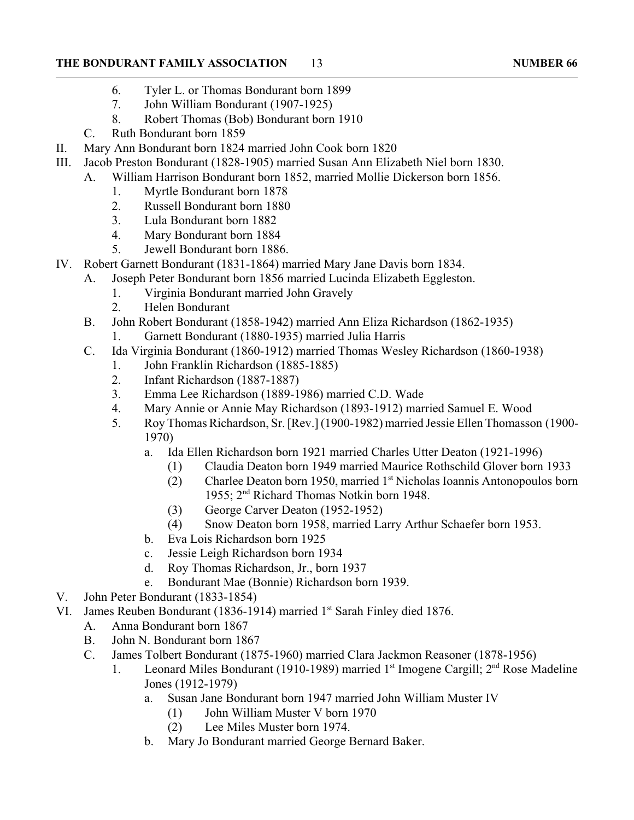#### **THE BONDURANT FAMILY ASSOCIATION 13** 13

- 6. Tyler L. or Thomas Bondurant born 1899
- 7. John William Bondurant (1907-1925)
- 8. Robert Thomas (Bob) Bondurant born 1910
- C. Ruth Bondurant born 1859
- II. Mary Ann Bondurant born 1824 married John Cook born 1820
- III. Jacob Preston Bondurant (1828-1905) married Susan Ann Elizabeth Niel born 1830.
	- A. William Harrison Bondurant born 1852, married Mollie Dickerson born 1856.
		- 1. Myrtle Bondurant born 1878
		- 2. Russell Bondurant born 1880
		- 3. Lula Bondurant born 1882
		- 4. Mary Bondurant born 1884
		- 5. Jewell Bondurant born 1886.
- IV. Robert Garnett Bondurant (1831-1864) married Mary Jane Davis born 1834.
	- A. Joseph Peter Bondurant born 1856 married Lucinda Elizabeth Eggleston.
		- 1. Virginia Bondurant married John Gravely
		- 2. Helen Bondurant
	- B. John Robert Bondurant (1858-1942) married Ann Eliza Richardson (1862-1935)
		- 1. Garnett Bondurant (1880-1935) married Julia Harris
	- C. Ida Virginia Bondurant (1860-1912) married Thomas Wesley Richardson (1860-1938)
		- 1. John Franklin Richardson (1885-1885)
		- 2. Infant Richardson (1887-1887)
		- 3. Emma Lee Richardson (1889-1986) married C.D. Wade
		- 4. Mary Annie or Annie May Richardson (1893-1912) married Samuel E. Wood
		- 5. Roy Thomas Richardson, Sr. [Rev.] (1900-1982) married Jessie Ellen Thomasson (1900- 1970)
			- a. Ida Ellen Richardson born 1921 married Charles Utter Deaton (1921-1996)
				- (1) Claudia Deaton born 1949 married Maurice Rothschild Glover born 1933
				- $(2)$  Charlee Deaton born 1950, married 1<sup>st</sup> Nicholas Ioannis Antonopoulos born 1955; 2nd Richard Thomas Notkin born 1948.
				- (3) George Carver Deaton (1952-1952)
				- (4) Snow Deaton born 1958, married Larry Arthur Schaefer born 1953.
			- b. Eva Lois Richardson born 1925
			- c. Jessie Leigh Richardson born 1934
			- d. Roy Thomas Richardson, Jr., born 1937
			- e. Bondurant Mae (Bonnie) Richardson born 1939.
- V. John Peter Bondurant (1833-1854)
- VI. James Reuben Bondurant (1836-1914) married 1<sup>st</sup> Sarah Finley died 1876.
	- A. Anna Bondurant born 1867
	- B. John N. Bondurant born 1867
	- C. James Tolbert Bondurant (1875-1960) married Clara Jackmon Reasoner (1878-1956)
		- 1. Leonard Miles Bondurant (1910-1989) married  $1<sup>st</sup>$  Imogene Cargill;  $2<sup>nd</sup>$  Rose Madeline Jones (1912-1979)
			- a. Susan Jane Bondurant born 1947 married John William Muster IV
				- (1) John William Muster V born 1970
				- (2) Lee Miles Muster born 1974.
			- b. Mary Jo Bondurant married George Bernard Baker.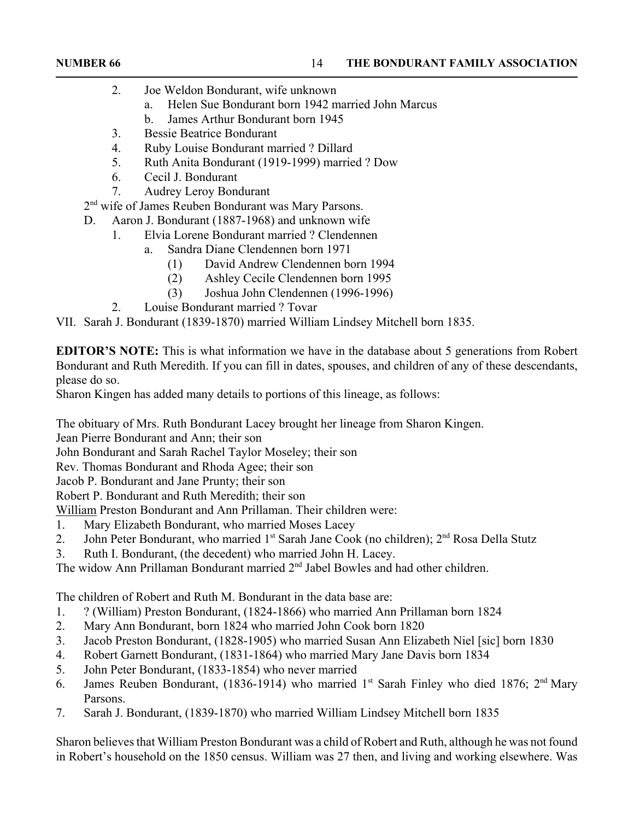- 2. Joe Weldon Bondurant, wife unknown
	- a. Helen Sue Bondurant born 1942 married John Marcus
	- b. James Arthur Bondurant born 1945
- 3. Bessie Beatrice Bondurant
- 4. Ruby Louise Bondurant married ? Dillard
- 5. Ruth Anita Bondurant (1919-1999) married ? Dow
- 6. Cecil J. Bondurant
- 7. Audrey Leroy Bondurant
- 2<sup>nd</sup> wife of James Reuben Bondurant was Mary Parsons.
- D. Aaron J. Bondurant (1887-1968) and unknown wife
	- 1. Elvia Lorene Bondurant married ? Clendennen
		- a. Sandra Diane Clendennen born 1971
			- (1) David Andrew Clendennen born 1994
			- (2) Ashley Cecile Clendennen born 1995
			- (3) Joshua John Clendennen (1996-1996)
	- 2. Louise Bondurant married ? Tovar

VII. Sarah J. Bondurant (1839-1870) married William Lindsey Mitchell born 1835.

**EDITOR'S NOTE:** This is what information we have in the database about 5 generations from Robert Bondurant and Ruth Meredith. If you can fill in dates, spouses, and children of any of these descendants, please do so.

Sharon Kingen has added many details to portions of this lineage, as follows:

The obituary of Mrs. Ruth Bondurant Lacey brought her lineage from Sharon Kingen.

Jean Pierre Bondurant and Ann; their son

John Bondurant and Sarah Rachel Taylor Moseley; their son

Rev. Thomas Bondurant and Rhoda Agee; their son

Jacob P. Bondurant and Jane Prunty; their son

Robert P. Bondurant and Ruth Meredith; their son

William Preston Bondurant and Ann Prillaman. Their children were:

- 1. Mary Elizabeth Bondurant, who married Moses Lacey
- 2. John Peter Bondurant, who married 1<sup>st</sup> Sarah Jane Cook (no children); 2<sup>nd</sup> Rosa Della Stutz
- 3. Ruth I. Bondurant, (the decedent) who married John H. Lacey.

The widow Ann Prillaman Bondurant married 2<sup>nd</sup> Jabel Bowles and had other children.

The children of Robert and Ruth M. Bondurant in the data base are:

- 1. ? (William) Preston Bondurant, (1824-1866) who married Ann Prillaman born 1824
- 2. Mary Ann Bondurant, born 1824 who married John Cook born 1820
- 3. Jacob Preston Bondurant, (1828-1905) who married Susan Ann Elizabeth Niel [sic] born 1830
- 4. Robert Garnett Bondurant, (1831-1864) who married Mary Jane Davis born 1834
- 5. John Peter Bondurant, (1833-1854) who never married
- 6. James Reuben Bondurant, (1836-1914) who married 1<sup>st</sup> Sarah Finley who died 1876;  $2<sup>nd</sup>$  Mary Parsons.
- 7. Sarah J. Bondurant, (1839-1870) who married William Lindsey Mitchell born 1835

Sharon believes that William Preston Bondurant was a child of Robert and Ruth, although he was not found in Robert's household on the 1850 census. William was 27 then, and living and working elsewhere. Was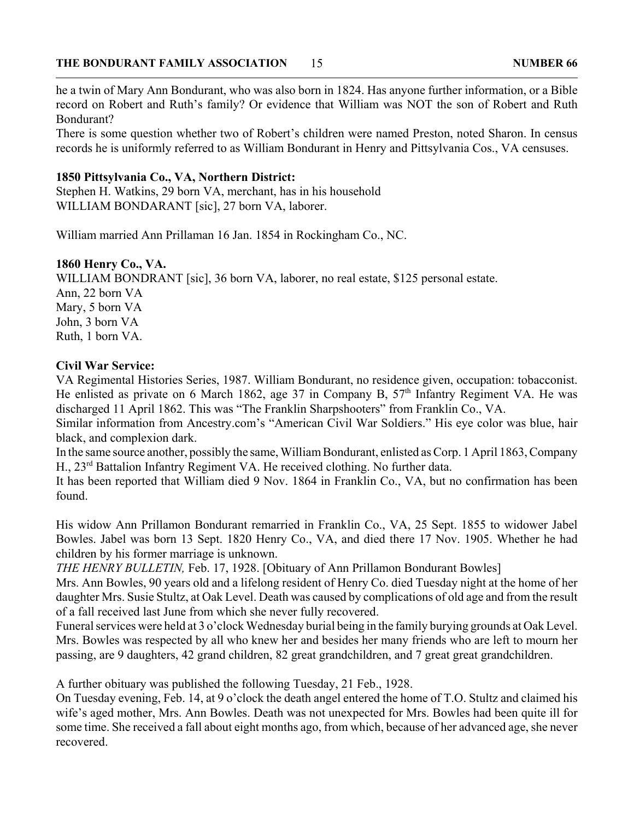#### **THE BONDURANT FAMILY ASSOCIATION 15 2008 10 2009 16 2009 17 2009 18 2009 18 2009 18 2009 18 2009 18 2009 18 2009 18 2009 18 2009 18 2009 18 2009 18 2009 18 2009 18 2009 18:00:00 18:00:00 18:00:00 18:00:00 18:00:00 18:00:0**

he a twin of Mary Ann Bondurant, who was also born in 1824. Has anyone further information, or a Bible record on Robert and Ruth's family? Or evidence that William was NOT the son of Robert and Ruth Bondurant?

There is some question whether two of Robert's children were named Preston, noted Sharon. In census records he is uniformly referred to as William Bondurant in Henry and Pittsylvania Cos., VA censuses.

#### **1850 Pittsylvania Co., VA, Northern District:**

Stephen H. Watkins, 29 born VA, merchant, has in his household WILLIAM BONDARANT [sic], 27 born VA, laborer.

William married Ann Prillaman 16 Jan. 1854 in Rockingham Co., NC.

#### **1860 Henry Co., VA.**

WILLIAM BONDRANT [sic], 36 born VA, laborer, no real estate, \$125 personal estate. Ann, 22 born VA Mary, 5 born VA John, 3 born VA Ruth, 1 born VA.

#### **Civil War Service:**

VA Regimental Histories Series, 1987. William Bondurant, no residence given, occupation: tobacconist. He enlisted as private on 6 March 1862, age 37 in Company B,  $57<sup>th</sup>$  Infantry Regiment VA. He was discharged 11 April 1862. This was "The Franklin Sharpshooters" from Franklin Co., VA.

Similar information from Ancestry.com's "American Civil War Soldiers." His eye color was blue, hair black, and complexion dark.

In the same source another, possibly the same, William Bondurant, enlisted as Corp. 1 April 1863, Company H., 23rd Battalion Infantry Regiment VA. He received clothing. No further data.

It has been reported that William died 9 Nov. 1864 in Franklin Co., VA, but no confirmation has been found.

His widow Ann Prillamon Bondurant remarried in Franklin Co., VA, 25 Sept. 1855 to widower Jabel Bowles. Jabel was born 13 Sept. 1820 Henry Co., VA, and died there 17 Nov. 1905. Whether he had children by his former marriage is unknown.

*THE HENRY BULLETIN,* Feb. 17, 1928. [Obituary of Ann Prillamon Bondurant Bowles]

Mrs. Ann Bowles, 90 years old and a lifelong resident of Henry Co. died Tuesday night at the home of her daughter Mrs. Susie Stultz, at Oak Level. Death was caused by complications of old age and from the result of a fall received last June from which she never fully recovered.

Funeral services were held at 3 o'clock Wednesday burial being in the family burying grounds at Oak Level. Mrs. Bowles was respected by all who knew her and besides her many friends who are left to mourn her passing, are 9 daughters, 42 grand children, 82 great grandchildren, and 7 great great grandchildren.

A further obituary was published the following Tuesday, 21 Feb., 1928.

On Tuesday evening, Feb. 14, at 9 o'clock the death angel entered the home of T.O. Stultz and claimed his wife's aged mother, Mrs. Ann Bowles. Death was not unexpected for Mrs. Bowles had been quite ill for some time. She received a fall about eight months ago, from which, because of her advanced age, she never recovered.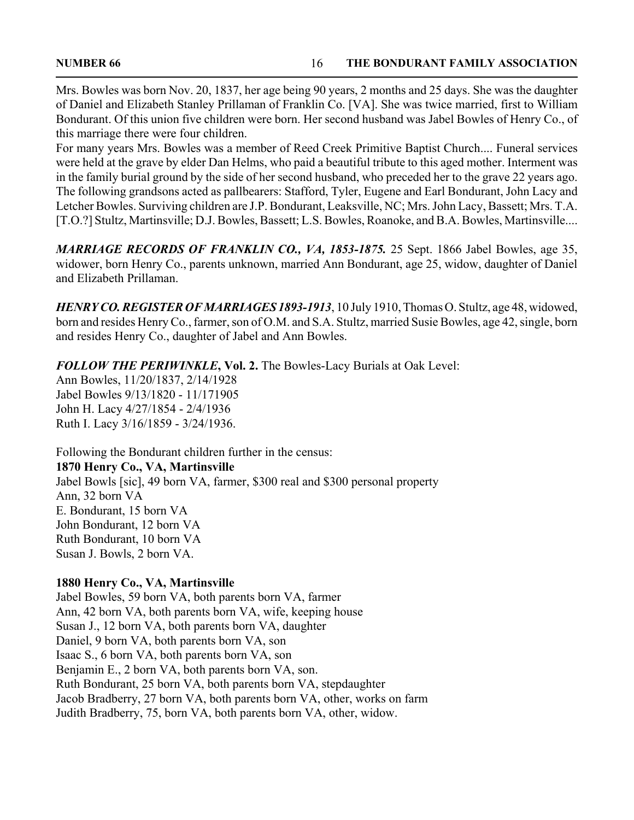Mrs. Bowles was born Nov. 20, 1837, her age being 90 years, 2 months and 25 days. She was the daughter of Daniel and Elizabeth Stanley Prillaman of Franklin Co. [VA]. She was twice married, first to William Bondurant. Of this union five children were born. Her second husband was Jabel Bowles of Henry Co., of this marriage there were four children.

For many years Mrs. Bowles was a member of Reed Creek Primitive Baptist Church.... Funeral services were held at the grave by elder Dan Helms, who paid a beautiful tribute to this aged mother. Interment was in the family burial ground by the side of her second husband, who preceded her to the grave 22 years ago. The following grandsons acted as pallbearers: Stafford, Tyler, Eugene and Earl Bondurant, John Lacy and Letcher Bowles. Surviving children are J.P. Bondurant, Leaksville, NC; Mrs. John Lacy, Bassett; Mrs. T.A. [T.O.?] Stultz, Martinsville; D.J. Bowles, Bassett; L.S. Bowles, Roanoke, and B.A. Bowles, Martinsville....

*MARRIAGE RECORDS OF FRANKLIN CO., VA, 1853-1875.* 25 Sept. 1866 Jabel Bowles, age 35, widower, born Henry Co., parents unknown, married Ann Bondurant, age 25, widow, daughter of Daniel and Elizabeth Prillaman.

*HENRY CO. REGISTER OF MARRIAGES 1893-1913*, 10 July 1910, Thomas O. Stultz, age 48, widowed, born and resides Henry Co., farmer, son of O.M. and S.A. Stultz, married Susie Bowles, age 42, single, born and resides Henry Co., daughter of Jabel and Ann Bowles.

*FOLLOW THE PERIWINKLE***, Vol. 2.** The Bowles-Lacy Burials at Oak Level:

Ann Bowles, 11/20/1837, 2/14/1928 Jabel Bowles 9/13/1820 - 11/171905 John H. Lacy 4/27/1854 - 2/4/1936 Ruth I. Lacy 3/16/1859 - 3/24/1936.

Following the Bondurant children further in the census: **1870 Henry Co., VA, Martinsville** Jabel Bowls [sic], 49 born VA, farmer, \$300 real and \$300 personal property Ann, 32 born VA E. Bondurant, 15 born VA John Bondurant, 12 born VA Ruth Bondurant, 10 born VA Susan J. Bowls, 2 born VA.

### **1880 Henry Co., VA, Martinsville**

Jabel Bowles, 59 born VA, both parents born VA, farmer Ann, 42 born VA, both parents born VA, wife, keeping house Susan J., 12 born VA, both parents born VA, daughter Daniel, 9 born VA, both parents born VA, son Isaac S., 6 born VA, both parents born VA, son Benjamin E., 2 born VA, both parents born VA, son. Ruth Bondurant, 25 born VA, both parents born VA, stepdaughter Jacob Bradberry, 27 born VA, both parents born VA, other, works on farm Judith Bradberry, 75, born VA, both parents born VA, other, widow.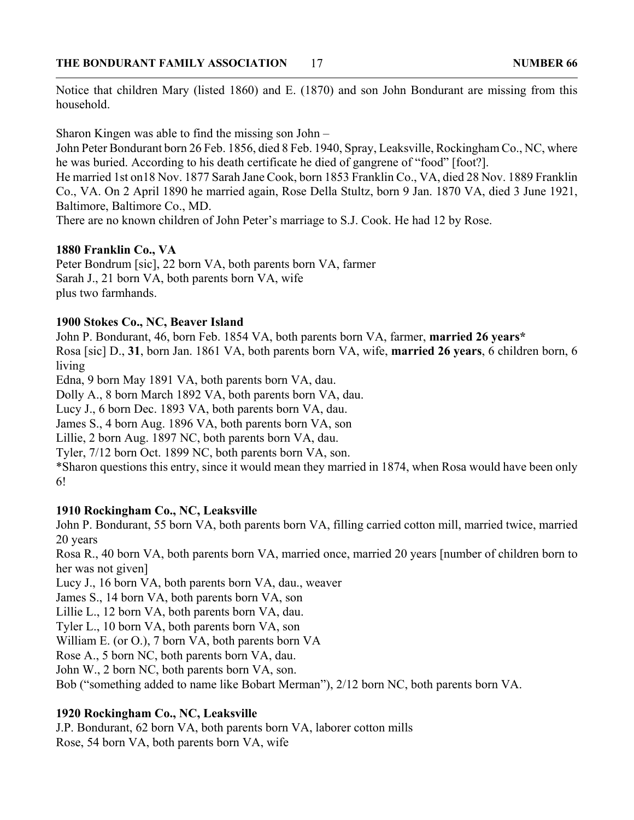Notice that children Mary (listed 1860) and E. (1870) and son John Bondurant are missing from this household.

Sharon Kingen was able to find the missing son John –

John Peter Bondurant born 26 Feb. 1856, died 8 Feb. 1940, Spray, Leaksville, Rockingham Co., NC, where he was buried. According to his death certificate he died of gangrene of "food" [foot?].

He married 1st on18 Nov. 1877 Sarah Jane Cook, born 1853 Franklin Co., VA, died 28 Nov. 1889 Franklin Co., VA. On 2 April 1890 he married again, Rose Della Stultz, born 9 Jan. 1870 VA, died 3 June 1921, Baltimore, Baltimore Co., MD.

There are no known children of John Peter's marriage to S.J. Cook. He had 12 by Rose.

#### **1880 Franklin Co., VA**

Peter Bondrum [sic], 22 born VA, both parents born VA, farmer Sarah J., 21 born VA, both parents born VA, wife plus two farmhands.

#### **1900 Stokes Co., NC, Beaver Island**

John P. Bondurant, 46, born Feb. 1854 VA, both parents born VA, farmer, **married 26 years\*** Rosa [sic] D., **31**, born Jan. 1861 VA, both parents born VA, wife, **married 26 years**, 6 children born, 6 living

Edna, 9 born May 1891 VA, both parents born VA, dau.

Dolly A., 8 born March 1892 VA, both parents born VA, dau.

Lucy J., 6 born Dec. 1893 VA, both parents born VA, dau.

James S., 4 born Aug. 1896 VA, both parents born VA, son

Lillie, 2 born Aug. 1897 NC, both parents born VA, dau.

Tyler, 7/12 born Oct. 1899 NC, both parents born VA, son.

\*Sharon questions this entry, since it would mean they married in 1874, when Rosa would have been only 6!

#### **1910 Rockingham Co., NC, Leaksville**

John P. Bondurant, 55 born VA, both parents born VA, filling carried cotton mill, married twice, married 20 years

Rosa R., 40 born VA, both parents born VA, married once, married 20 years [number of children born to her was not given]

Lucy J., 16 born VA, both parents born VA, dau., weaver

James S., 14 born VA, both parents born VA, son

Lillie L., 12 born VA, both parents born VA, dau.

Tyler L., 10 born VA, both parents born VA, son

William E. (or O.), 7 born VA, both parents born VA

Rose A., 5 born NC, both parents born VA, dau.

John W., 2 born NC, both parents born VA, son.

Bob ("something added to name like Bobart Merman"), 2/12 born NC, both parents born VA.

### **1920 Rockingham Co., NC, Leaksville**

J.P. Bondurant, 62 born VA, both parents born VA, laborer cotton mills Rose, 54 born VA, both parents born VA, wife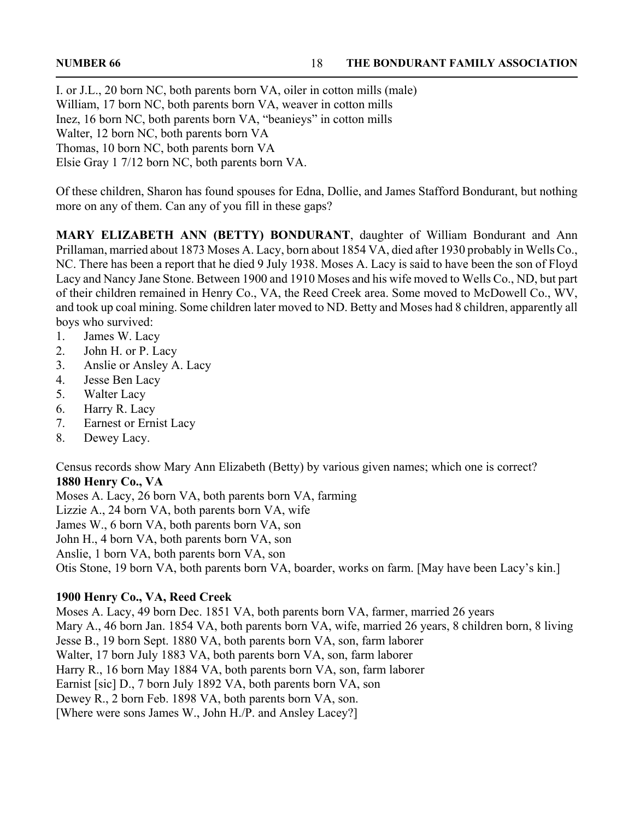I. or J.L., 20 born NC, both parents born VA, oiler in cotton mills (male) William, 17 born NC, both parents born VA, weaver in cotton mills Inez, 16 born NC, both parents born VA, "beanieys" in cotton mills Walter, 12 born NC, both parents born VA Thomas, 10 born NC, both parents born VA Elsie Gray 1 7/12 born NC, both parents born VA.

Of these children, Sharon has found spouses for Edna, Dollie, and James Stafford Bondurant, but nothing more on any of them. Can any of you fill in these gaps?

**MARY ELIZABETH ANN (BETTY) BONDURANT**, daughter of William Bondurant and Ann Prillaman, married about 1873 Moses A. Lacy, born about 1854 VA, died after 1930 probably in Wells Co., NC. There has been a report that he died 9 July 1938. Moses A. Lacy is said to have been the son of Floyd Lacy and Nancy Jane Stone. Between 1900 and 1910 Moses and his wife moved to Wells Co., ND, but part of their children remained in Henry Co., VA, the Reed Creek area. Some moved to McDowell Co., WV, and took up coal mining. Some children later moved to ND. Betty and Moses had 8 children, apparently all boys who survived:

- 1. James W. Lacy
- 2. John H. or P. Lacy
- 3. Anslie or Ansley A. Lacy
- 4. Jesse Ben Lacy
- 5. Walter Lacy
- 6. Harry R. Lacy
- 7. Earnest or Ernist Lacy
- 8. Dewey Lacy.

Census records show Mary Ann Elizabeth (Betty) by various given names; which one is correct? **1880 Henry Co., VA**

Moses A. Lacy, 26 born VA, both parents born VA, farming

Lizzie A., 24 born VA, both parents born VA, wife

James W., 6 born VA, both parents born VA, son

John H., 4 born VA, both parents born VA, son

Anslie, 1 born VA, both parents born VA, son

Otis Stone, 19 born VA, both parents born VA, boarder, works on farm. [May have been Lacy's kin.]

### **1900 Henry Co., VA, Reed Creek**

Moses A. Lacy, 49 born Dec. 1851 VA, both parents born VA, farmer, married 26 years Mary A., 46 born Jan. 1854 VA, both parents born VA, wife, married 26 years, 8 children born, 8 living Jesse B., 19 born Sept. 1880 VA, both parents born VA, son, farm laborer Walter, 17 born July 1883 VA, both parents born VA, son, farm laborer Harry R., 16 born May 1884 VA, both parents born VA, son, farm laborer Earnist [sic] D., 7 born July 1892 VA, both parents born VA, son Dewey R., 2 born Feb. 1898 VA, both parents born VA, son. [Where were sons James W., John H./P. and Ansley Lacey?]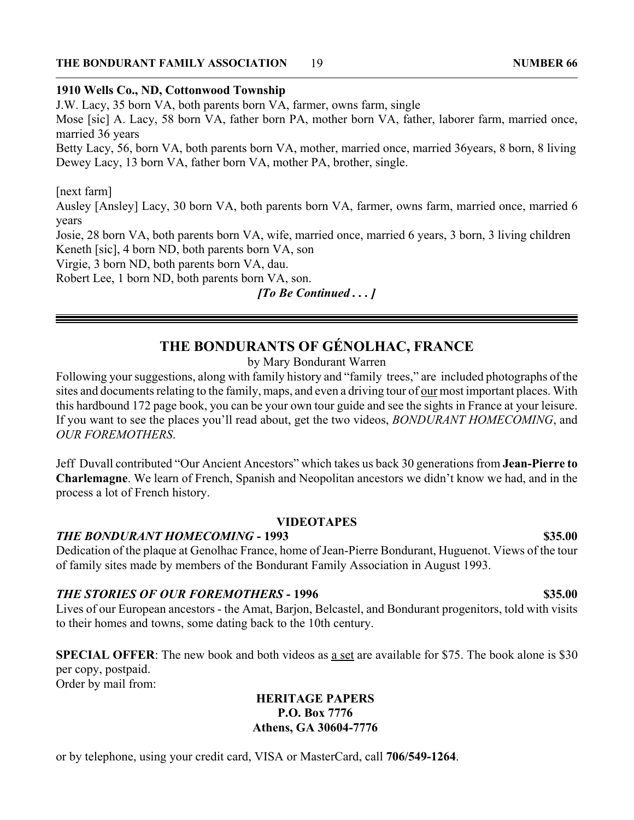#### **THE BONDURANT FAMILY ASSOCIATION 19** 19 NUMBER 66

### **1910 Wells Co., ND, Cottonwood Township**

J.W. Lacy, 35 born VA, both parents born VA, farmer, owns farm, single

Mose [sic] A. Lacy, 58 born VA, father born PA, mother born VA, father, laborer farm, married once, married 36 years

Betty Lacy, 56, born VA, both parents born VA, mother, married once, married 36years, 8 born, 8 living Dewey Lacy, 13 born VA, father born VA, mother PA, brother, single.

#### [next farm]

Ausley [Ansley] Lacy, 30 born VA, both parents born VA, farmer, owns farm, married once, married 6 years

Josie, 28 born VA, both parents born VA, wife, married once, married 6 years, 3 born, 3 living children Keneth [sic], 4 born ND, both parents born VA, son

Virgie, 3 born ND, both parents born VA, dau.

Robert Lee, 1 born ND, both parents born VA, son.

*[To Be Continued . . . ]*

# **THE BONDURANTS OF GÉNOLHAC, FRANCE**

#### by Mary Bondurant Warren

Following your suggestions, along with family history and "family trees," are included photographs of the sites and documents relating to the family, maps, and even a driving tour of our most important places. With this hardbound 172 page book, you can be your own tour guide and see the sights in France at your leisure. If you want to see the places you'll read about, get the two videos, *BONDURANT HOMECOMING*, and *OUR FOREMOTHERS*.

Jeff Duvall contributed "Our Ancient Ancestors" which takes us back 30 generations from **Jean-Pierre to Charlemagne**. We learn of French, Spanish and Neopolitan ancestors we didn't know we had, and in the process a lot of French history.

#### **VIDEOTAPES**

#### *THE BONDURANT HOMECOMING* **- 1993 \$35.00**

Dedication of the plaque at Genolhac France, home of Jean-Pierre Bondurant, Huguenot. Views of the tour of family sites made by members of the Bondurant Family Association in August 1993.

#### **THE STORIES OF OUR FOREMOTHERS - 1996 \$35.00**

Lives of our European ancestors - the Amat, Barjon, Belcastel, and Bondurant progenitors, told with visits to their homes and towns, some dating back to the 10th century.

**SPECIAL OFFER**: The new book and both videos as a set are available for \$75. The book alone is \$30 per copy, postpaid. Order by mail from:

#### **HERITAGE PAPERS P.O. Box 7776 Athens, GA 30604-7776**

or by telephone, using your credit card, VISA or MasterCard, call **706/549-1264**.